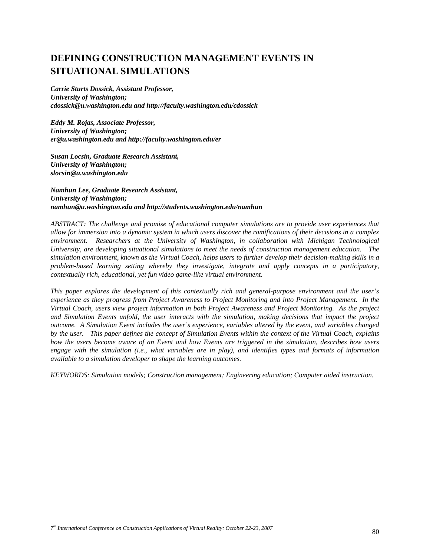# **DEFINING CONSTRUCTION MANAGEMENT EVENTS IN SITUATIONAL SIMULATIONS**

*Carrie Sturts Dossick, Assistant Professor, University of Washington; cdossick@u.washington.edu and http://faculty.washington.edu/cdossick* 

*Eddy M. Rojas, Associate Professor, University of Washington; er@u.washington.edu and http://faculty.washington.edu/er* 

*Susan Locsin, Graduate Research Assistant, University of Washington; slocsin@u.washington.edu* 

*Namhun Lee, Graduate Research Assistant, University of Washington; namhun@u.washington.edu and http://students.washington.edu/namhun* 

*ABSTRACT: The challenge and promise of educational computer simulations are to provide user experiences that allow for immersion into a dynamic system in which users discover the ramifications of their decisions in a complex environment. Researchers at the University of Washington, in collaboration with Michigan Technological University, are developing situational simulations to meet the needs of construction management education. The simulation environment, known as the Virtual Coach, helps users to further develop their decision-making skills in a problem-based learning setting whereby they investigate, integrate and apply concepts in a participatory, contextually rich, educational, yet fun video game-like virtual environment.* 

*This paper explores the development of this contextually rich and general-purpose environment and the user's experience as they progress from Project Awareness to Project Monitoring and into Project Management. In the Virtual Coach, users view project information in both Project Awareness and Project Monitoring. As the project*  and Simulation Events unfold, the user interacts with the simulation, making decisions that impact the project *outcome. A Simulation Event includes the user's experience, variables altered by the event, and variables changed by the user. This paper defines the concept of Simulation Events within the context of the Virtual Coach, explains how the users become aware of an Event and how Events are triggered in the simulation, describes how users engage with the simulation (i.e., what variables are in play), and identifies types and formats of information available to a simulation developer to shape the learning outcomes.* 

*KEYWORDS: Simulation models; Construction management; Engineering education; Computer aided instruction.*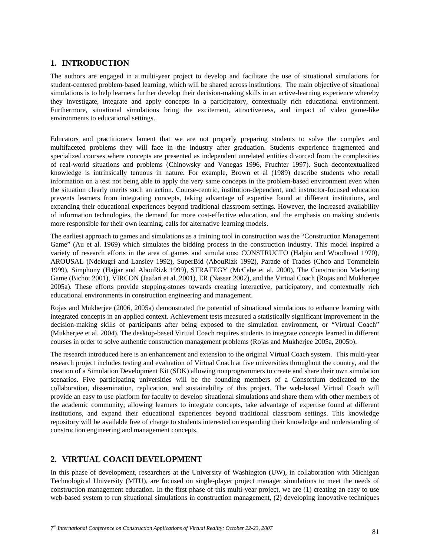### **1. INTRODUCTION**

The authors are engaged in a multi-year project to develop and facilitate the use of situational simulations for student-centered problem-based learning, which will be shared across institutions. The main objective of situational simulations is to help learners further develop their decision-making skills in an active-learning experience whereby they investigate, integrate and apply concepts in a participatory, contextually rich educational environment. Furthermore, situational simulations bring the excitement, attractiveness, and impact of video game-like environments to educational settings.

Educators and practitioners lament that we are not properly preparing students to solve the complex and multifaceted problems they will face in the industry after graduation. Students experience fragmented and specialized courses where concepts are presented as independent unrelated entities divorced from the complexities of real-world situations and problems (Chinowsky and Vanegas 1996, Fruchter 1997). Such decontextualized knowledge is intrinsically tenuous in nature. For example, Brown et al (1989) describe students who recall information on a test not being able to apply the very same concepts in the problem-based environment even when the situation clearly merits such an action. Course-centric, institution-dependent, and instructor-focused education prevents learners from integrating concepts, taking advantage of expertise found at different institutions, and expanding their educational experiences beyond traditional classroom settings. However, the increased availability of information technologies, the demand for more cost-effective education, and the emphasis on making students more responsible for their own learning, calls for alternative learning models.

The earliest approach to games and simulations as a training tool in construction was the "Construction Management Game" (Au et al. 1969) which simulates the bidding process in the construction industry. This model inspired a variety of research efforts in the area of games and simulations: CONSTRUCTO (Halpin and Woodhead 1970), AROUSAL (Ndekugri and Lansley 1992), SuperBid (AbouRizk 1992), Parade of Trades (Choo and Tommelein 1999), Simphony (Hajjar and AbouRizk 1999), STRATEGY (McCabe et al. 2000), The Construction Marketing Game (Bichot 2001), VIRCON (Jaafari et al. 2001), ER (Nassar 2002), and the Virtual Coach (Rojas and Mukherjee 2005a). These efforts provide stepping-stones towards creating interactive, participatory, and contextually rich educational environments in construction engineering and management.

Rojas and Mukherjee (2006, 2005a) demonstrated the potential of situational simulations to enhance learning with integrated concepts in an applied context. Achievement tests measured a statistically significant improvement in the decision-making skills of participants after being exposed to the simulation environment, or "Virtual Coach" (Mukherjee et al. 2004). The desktop-based Virtual Coach requires students to integrate concepts learned in different courses in order to solve authentic construction management problems (Rojas and Mukherjee 2005a, 2005b).

The research introduced here is an enhancement and extension to the original Virtual Coach system. This multi-year research project includes testing and evaluation of Virtual Coach at five universities throughout the country, and the creation of a Simulation Development Kit (SDK) allowing nonprogrammers to create and share their own simulation scenarios. Five participating universities will be the founding members of a Consortium dedicated to the collaboration, dissemination, replication, and sustainability of this project. The web-based Virtual Coach will provide an easy to use platform for faculty to develop situational simulations and share them with other members of the academic community; allowing learners to integrate concepts, take advantage of expertise found at different institutions, and expand their educational experiences beyond traditional classroom settings. This knowledge repository will be available free of charge to students interested on expanding their knowledge and understanding of construction engineering and management concepts.

### **2. VIRTUAL COACH DEVELOPMENT**

In this phase of development, researchers at the University of Washington (UW), in collaboration with Michigan Technological University (MTU), are focused on single-player project manager simulations to meet the needs of construction management education. In the first phase of this multi-year project, we are (1) creating an easy to use web-based system to run situational simulations in construction management, (2) developing innovative techniques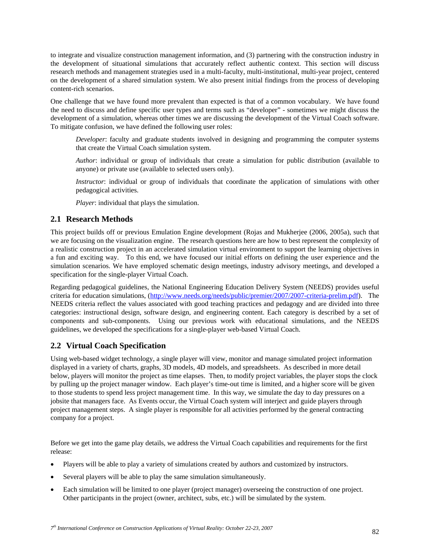to integrate and visualize construction management information, and (3) partnering with the construction industry in the development of situational simulations that accurately reflect authentic context. This section will discuss research methods and management strategies used in a multi-faculty, multi-institutional, multi-year project, centered on the development of a shared simulation system. We also present initial findings from the process of developing content-rich scenarios.

One challenge that we have found more prevalent than expected is that of a common vocabulary. We have found the need to discuss and define specific user types and terms such as "developer" - sometimes we might discuss the development of a simulation, whereas other times we are discussing the development of the Virtual Coach software. To mitigate confusion, we have defined the following user roles:

*Developer*: faculty and graduate students involved in designing and programming the computer systems that create the Virtual Coach simulation system.

*Author*: individual or group of individuals that create a simulation for public distribution (available to anyone) or private use (available to selected users only).

*Instructor*: individual or group of individuals that coordinate the application of simulations with other pedagogical activities.

*Player*: individual that plays the simulation.

### **2.1 Research Methods**

This project builds off or previous Emulation Engine development (Rojas and Mukherjee (2006, 2005a), such that we are focusing on the visualization engine. The research questions here are how to best represent the complexity of a realistic construction project in an accelerated simulation virtual environment to support the learning objectives in a fun and exciting way. To this end, we have focused our initial efforts on defining the user experience and the simulation scenarios. We have employed schematic design meetings, industry advisory meetings, and developed a specification for the single-player Virtual Coach.

Regarding pedagogical guidelines, the National Engineering Education Delivery System (NEEDS) provides useful criteria for education simulations, (http://www.needs.org/needs/public/premier/2007/2007-criteria-prelim.pdf). The NEEDS criteria reflect the values associated with good teaching practices and pedagogy and are divided into three categories: instructional design, software design, and engineering content. Each category is described by a set of components and sub-components. Using our previous work with educational simulations, and the NEEDS guidelines, we developed the specifications for a single-player web-based Virtual Coach.

### **2.2 Virtual Coach Specification**

Using web-based widget technology, a single player will view, monitor and manage simulated project information displayed in a variety of charts, graphs, 3D models, 4D models, and spreadsheets. As described in more detail below, players will monitor the project as time elapses. Then, to modify project variables, the player stops the clock by pulling up the project manager window. Each player's time-out time is limited, and a higher score will be given to those students to spend less project management time. In this way, we simulate the day to day pressures on a jobsite that managers face. As Events occur, the Virtual Coach system will interject and guide players through project management steps. A single player is responsible for all activities performed by the general contracting company for a project.

Before we get into the game play details, we address the Virtual Coach capabilities and requirements for the first release:

- Players will be able to play a variety of simulations created by authors and customized by instructors.
- Several players will be able to play the same simulation simultaneously.
- Each simulation will be limited to one player (project manager) overseeing the construction of one project. Other participants in the project (owner, architect, subs, etc.) will be simulated by the system.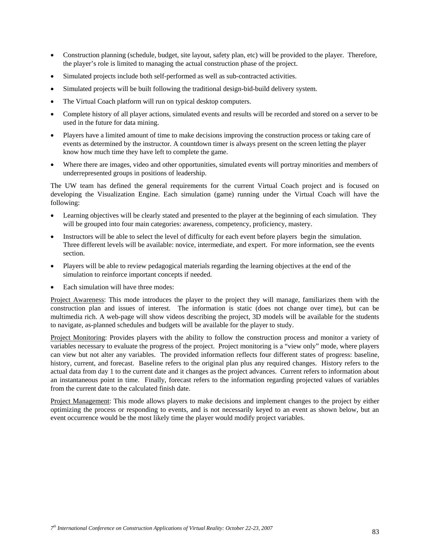- Construction planning (schedule, budget, site layout, safety plan, etc) will be provided to the player. Therefore, the player's role is limited to managing the actual construction phase of the project.
- Simulated projects include both self-performed as well as sub-contracted activities.
- Simulated projects will be built following the traditional design-bid-build delivery system.
- The Virtual Coach platform will run on typical desktop computers.
- Complete history of all player actions, simulated events and results will be recorded and stored on a server to be used in the future for data mining.
- Players have a limited amount of time to make decisions improving the construction process or taking care of events as determined by the instructor. A countdown timer is always present on the screen letting the player know how much time they have left to complete the game.
- Where there are images, video and other opportunities, simulated events will portray minorities and members of underrepresented groups in positions of leadership.

The UW team has defined the general requirements for the current Virtual Coach project and is focused on developing the Visualization Engine. Each simulation (game) running under the Virtual Coach will have the following:

- Learning objectives will be clearly stated and presented to the player at the beginning of each simulation. They will be grouped into four main categories: awareness, competency, proficiency, mastery.
- Instructors will be able to select the level of difficulty for each event before players begin the simulation. Three different levels will be available: novice, intermediate, and expert. For more information, see the events section.
- Players will be able to review pedagogical materials regarding the learning objectives at the end of the simulation to reinforce important concepts if needed.
- Each simulation will have three modes:

Project Awareness: This mode introduces the player to the project they will manage, familiarizes them with the construction plan and issues of interest. The information is static (does not change over time), but can be multimedia rich. A web-page will show videos describing the project, 3D models will be available for the students to navigate, as-planned schedules and budgets will be available for the player to study.

Project Monitoring: Provides players with the ability to follow the construction process and monitor a variety of variables necessary to evaluate the progress of the project. Project monitoring is a "view only" mode, where players can view but not alter any variables. The provided information reflects four different states of progress: baseline, history, current, and forecast. Baseline refers to the original plan plus any required changes. History refers to the actual data from day 1 to the current date and it changes as the project advances. Current refers to information about an instantaneous point in time. Finally, forecast refers to the information regarding projected values of variables from the current date to the calculated finish date.

Project Management: This mode allows players to make decisions and implement changes to the project by either optimizing the process or responding to events, and is not necessarily keyed to an event as shown below, but an event occurrence would be the most likely time the player would modify project variables.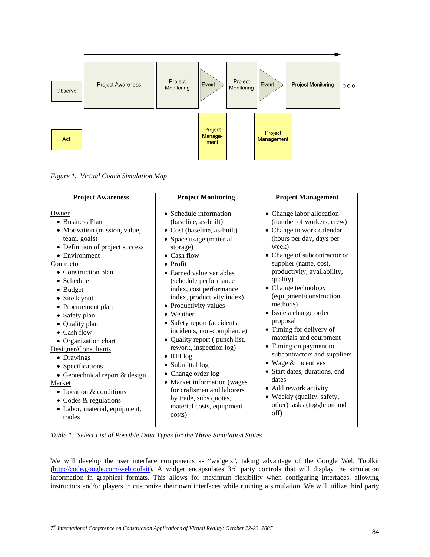

*Figure 1. Virtual Coach Simulation Map* 

| <b>Project Awareness</b>         | <b>Project Monitoring</b>     | <b>Project Management</b>     |
|----------------------------------|-------------------------------|-------------------------------|
| Owner                            | • Schedule information        | • Change labor allocation     |
| • Business Plan                  | (baseline, as-built)          | (number of workers, crew)     |
| • Motivation (mission, value,    | • Cost (baseline, as-built)   | • Change in work calendar     |
| team, goals)                     | • Space usage (material       | (hours per day, days per      |
| • Definition of project success  | storage)                      | week)                         |
| • Environment                    | $\bullet$ Cash flow           | • Change of subcontractor or  |
| Contractor                       | $\bullet$ Profit              | supplier (name, cost,         |
| • Construction plan              | • Earned value variables      | productivity, availability,   |
| • Schedule                       | (schedule performance         | quality)                      |
| $\bullet$ Budget                 | index, cost performance       | • Change technology           |
| • Site layout                    | index, productivity index)    | (equipment/construction       |
| • Procurement plan               | • Productivity values         | methods)                      |
| • Safety plan                    | • Weather                     | • Issue a change order        |
| • Quality plan                   | • Safety report (accidents,   | proposal                      |
| $\bullet$ Cash flow              | incidents, non-compliance)    | • Timing for delivery of      |
| • Organization chart             | • Quality report (punch list, | materials and equipment       |
| Designer/Consultants             | rework, inspection log)       | • Timing on payment to        |
| • Drawings                       | $\bullet$ RFI log             | subcontractors and suppliers  |
| • Specifications                 | • Submittal log               | $\bullet$ Wage & incentives   |
| • Geotechnical report $&$ design | • Change order log            | • Start dates, durations, end |
| Market                           | • Market information (wages   | dates                         |
| • Location $&$ conditions        | for craftsmen and laborers    | • Add rework activity         |
| • Codes & regulations            | by trade, subs quotes,        | • Weekly (quality, safety,    |
| • Labor, material, equipment,    | material costs, equipment     | other) tasks (toggle on and   |
| trades                           | costs)                        | off)                          |

*Table 1. Select List of Possible Data Types for the Three Simulation States* 

We will develop the user interface components as "widgets", taking advantage of the Google Web Toolkit (http://code.google.com/webtoolkit). A widget encapsulates 3rd party controls that will display the simulation information in graphical formats. This allows for maximum flexibility when configuring interfaces, allowing instructors and/or players to customize their own interfaces while running a simulation. We will utilize third party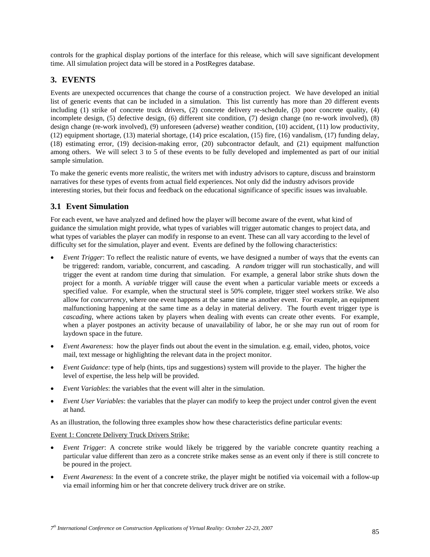controls for the graphical display portions of the interface for this release, which will save significant development time. All simulation project data will be stored in a PostRegres database.

### **3. EVENTS**

Events are unexpected occurrences that change the course of a construction project. We have developed an initial list of generic events that can be included in a simulation. This list currently has more than 20 different events including (1) strike of concrete truck drivers, (2) concrete delivery re-schedule, (3) poor concrete quality, (4) incomplete design, (5) defective design, (6) different site condition, (7) design change (no re-work involved), (8) design change (re-work involved), (9) unforeseen (adverse) weather condition, (10) accident, (11) low productivity, (12) equipment shortage, (13) material shortage, (14) price escalation, (15) fire, (16) vandalism, (17) funding delay, (18) estimating error, (19) decision-making error, (20) subcontractor default, and (21) equipment malfunction among others. We will select 3 to 5 of these events to be fully developed and implemented as part of our initial sample simulation.

To make the generic events more realistic, the writers met with industry advisors to capture, discuss and brainstorm narratives for these types of events from actual field experiences. Not only did the industry advisors provide interesting stories, but their focus and feedback on the educational significance of specific issues was invaluable.

### **3.1 Event Simulation**

For each event, we have analyzed and defined how the player will become aware of the event, what kind of guidance the simulation might provide, what types of variables will trigger automatic changes to project data, and what types of variables the player can modify in response to an event. These can all vary according to the level of difficulty set for the simulation, player and event. Events are defined by the following characteristics:

- *Event Trigger*: To reflect the realistic nature of events, we have designed a number of ways that the events can be triggered: random, variable, concurrent, and cascading. A *random* trigger will run stochastically, and will trigger the event at random time during that simulation. For example, a general labor strike shuts down the project for a month. A *variable* trigger will cause the event when a particular variable meets or exceeds a specified value. For example, when the structural steel is 50% complete, trigger steel workers strike. We also allow for *concurrency*, where one event happens at the same time as another event. For example, an equipment malfunctioning happening at the same time as a delay in material delivery. The fourth event trigger type is *cascading,* where actions taken by players when dealing with events can create other events. For example, when a player postpones an activity because of unavailability of labor, he or she may run out of room for laydown space in the future.
- *Event Awareness*: how the player finds out about the event in the simulation. e.g. email, video, photos, voice mail, text message or highlighting the relevant data in the project monitor.
- *Event Guidance*: type of help (hints, tips and suggestions) system will provide to the player. The higher the level of expertise, the less help will be provided.
- *Event Variables*: the variables that the event will alter in the simulation.
- *Event User Variables*: the variables that the player can modify to keep the project under control given the event at hand.

As an illustration, the following three examples show how these characteristics define particular events:

#### Event 1: Concrete Delivery Truck Drivers Strike:

- *Event Trigger*: A concrete strike would likely be triggered by the variable concrete quantity reaching a particular value different than zero as a concrete strike makes sense as an event only if there is still concrete to be poured in the project.
- *Event Awareness*: In the event of a concrete strike, the player might be notified via voicemail with a follow-up via email informing him or her that concrete delivery truck driver are on strike.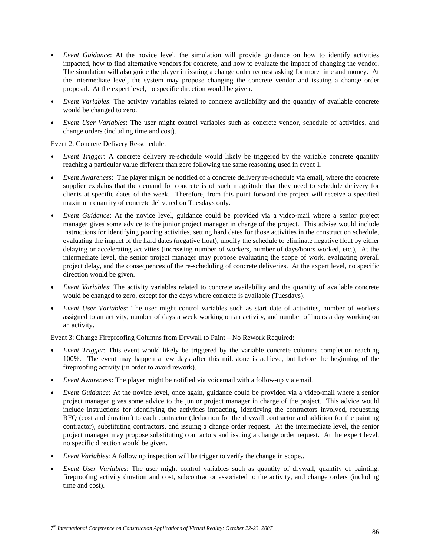- *Event Guidance*: At the novice level, the simulation will provide guidance on how to identify activities impacted, how to find alternative vendors for concrete, and how to evaluate the impact of changing the vendor. The simulation will also guide the player in issuing a change order request asking for more time and money. At the intermediate level, the system may propose changing the concrete vendor and issuing a change order proposal. At the expert level, no specific direction would be given.
- *Event Variables*: The activity variables related to concrete availability and the quantity of available concrete would be changed to zero.
- *Event User Variables*: The user might control variables such as concrete vendor, schedule of activities, and change orders (including time and cost).

#### Event 2: Concrete Delivery Re-schedule:

- *Event Trigger*: A concrete delivery re-schedule would likely be triggered by the variable concrete quantity reaching a particular value different than zero following the same reasoning used in event 1.
- *Event Awareness*: The player might be notified of a concrete delivery re-schedule via email, where the concrete supplier explains that the demand for concrete is of such magnitude that they need to schedule delivery for clients at specific dates of the week. Therefore, from this point forward the project will receive a specified maximum quantity of concrete delivered on Tuesdays only.
- *Event Guidance*: At the novice level, guidance could be provided via a video-mail where a senior project manager gives some advice to the junior project manager in charge of the project. This advise would include instructions for identifying pouring activities, setting hard dates for those activities in the construction schedule, evaluating the impact of the hard dates (negative float), modify the schedule to eliminate negative float by either delaying or accelerating activities (increasing number of workers, number of days/hours worked, etc.), At the intermediate level, the senior project manager may propose evaluating the scope of work, evaluating overall project delay, and the consequences of the re-scheduling of concrete deliveries. At the expert level, no specific direction would be given.
- *Event Variables*: The activity variables related to concrete availability and the quantity of available concrete would be changed to zero, except for the days where concrete is available (Tuesdays).
- *Event User Variables*: The user might control variables such as start date of activities, number of workers assigned to an activity, number of days a week working on an activity, and number of hours a day working on an activity.

#### Event 3: Change Fireproofing Columns from Drywall to Paint – No Rework Required:

- *Event Trigger*: This event would likely be triggered by the variable concrete columns completion reaching 100%. The event may happen a few days after this milestone is achieve, but before the beginning of the fireproofing activity (in order to avoid rework).
- *Event Awareness*: The player might be notified via voicemail with a follow-up via email.
- *Event Guidance*: At the novice level, once again, guidance could be provided via a video-mail where a senior project manager gives some advice to the junior project manager in charge of the project. This advice would include instructions for identifying the activities impacting, identifying the contractors involved, requesting RFQ (cost and duration) to each contractor (deduction for the drywall contractor and addition for the painting contractor), substituting contractors, and issuing a change order request. At the intermediate level, the senior project manager may propose substituting contractors and issuing a change order request. At the expert level, no specific direction would be given.
- *Event Variables*: A follow up inspection will be trigger to verify the change in scope..
- *Event User Variables*: The user might control variables such as quantity of drywall, quantity of painting, fireproofing activity duration and cost, subcontractor associated to the activity, and change orders (including time and cost).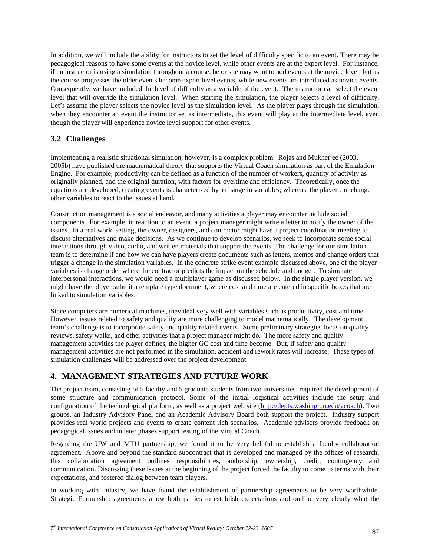In addition, we will include the ability for instructors to set the level of difficulty specific to an event. There may be pedagogical reasons to have some events at the novice level, while other events are at the expert level. For instance, if an instructor is using a simulation throughout a course, he or she may want to add events at the novice level, but as the course progresses the older events become expert level events, while new events are introduced as novice events. Consequently, we have included the level of difficulty as a variable of the event. The instructor can select the event level that will override the simulation level. When starting the simulation, the player selects a level of difficulty. Let's assume the player selects the novice level as the simulation level. As the player plays through the simulation, when they encounter an event the instructor set as intermediate, this event will play at the intermediate level, even though the player will experience novice level support for other events.

# **3.2 Challenges**

Implementing a realistic situational simulation, however, is a complex problem. Rojas and Mukherjee (2003, 2005b) have published the mathematical theory that supports the Virtual Coach simulation as part of the Emulation Engine. For example, productivity can be defined as a function of the number of workers, quantity of activity as originally planned, and the original duration, with factors for overtime and efficiency. Theoretically, once the equations are developed, creating events is characterized by a change in variables; whereas, the player can change other variables to react to the issues at hand.

Construction management is a social endeavor, and many activities a player may encounter include social components. For example, in reaction to an event, a project manager might write a letter to notify the owner of the issues. In a real world setting, the owner, designers, and contractor might have a project coordination meeting to discuss alternatives and make decisions. As we continue to develop scenarios, we seek to incorporate some social interactions through video, audio, and written materials that support the events. The challenge for our simulation team is to determine if and how we can have players create documents such as letters, memos and change orders that trigger a change in the simulation variables. In the concrete strike event example discussed above, one of the player variables is change order where the contractor predicts the impact on the schedule and budget. To simulate interpersonal interactions, we would need a multiplayer game as discussed below. In the single player version, we might have the player submit a template type document, where cost and time are entered in specific boxes that are linked to simulation variables.

Since computers are numerical machines, they deal very well with variables such as productivity, cost and time. However, issues related to safety and quality are more challenging to model mathematically. The development team's challenge is to incorporate safety and quality related events. Some preliminary strategies focus on quality reviews, safety walks, and other activities that a project manager might do. The more safety and quality management activities the player defines, the higher GC cost and time become. But, if safety and quality management activities are not performed in the simulation, accident and rework rates will increase. These types of simulation challenges will be addressed over the project development.

# **4. MANAGEMENT STRATEGIES AND FUTURE WORK**

The project team, consisting of 5 faculty and 5 graduate students from two universities, required the development of some structure and communication protocol. Some of the initial logistical activities include the setup and configuration of the technological platform, as well as a project web site (http://depts.washington.edu/vcoach). Two groups, an Industry Advisory Panel and an Academic Advisory Board both support the project. Industry support provides real world projects and events to create content rich scenarios. Academic advisors provide feedback on pedagogical issues and in later phases support testing of the Virtual Coach.

Regarding the UW and MTU partnership, we found it to be very helpful to establish a faculty collaboration agreement. Above and beyond the standard subcontract that is developed and managed by the offices of research, this collaboration agreement outlines responsibilities, authorship, ownership, credit, contingency and communication. Discussing these issues at the beginning of the project forced the faculty to come to terms with their expectations, and fostered dialog between team players.

In working with industry, we have found the establishment of partnership agreements to be very worthwhile. Strategic Partnership agreements allow both parties to establish expectations and outline very clearly what the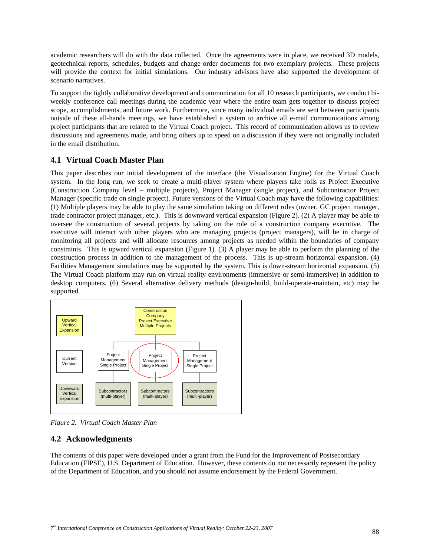academic researchers will do with the data collected. Once the agreements were in place, we received 3D models, geotechnical reports, schedules, budgets and change order documents for two exemplary projects. These projects will provide the context for initial simulations. Our industry advisors have also supported the development of scenario narratives.

To support the tightly collaborative development and communication for all 10 research participants, we conduct biweekly conference call meetings during the academic year where the entire team gets together to discuss project scope, accomplishments, and future work. Furthermore, since many individual emails are sent between participants outside of these all-hands meetings, we have established a system to archive all e-mail communications among project participants that are related to the Virtual Coach project. This record of communication allows us to review discussions and agreements made, and bring others up to speed on a discussion if they were not originally included in the email distribution.

### **4.1 Virtual Coach Master Plan**

This paper describes our initial development of the interface (the Visualization Engine) for the Virtual Coach system. In the long run, we seek to create a multi-player system where players take rolls as Project Executive (Construction Company level – multiple projects), Project Manager (single project), and Subcontractor Project Manager (specific trade on single project). Future versions of the Virtual Coach may have the following capabilities: (1) Multiple players may be able to play the same simulation taking on different roles (owner, GC project manager, trade contractor project manager, etc.). This is downward vertical expansion (Figure 2). (2) A player may be able to oversee the construction of several projects by taking on the role of a construction company executive. The executive will interact with other players who are managing projects (project managers), will be in charge of monitoring all projects and will allocate resources among projects as needed within the boundaries of company constraints. This is upward vertical expansion (Figure 1). (3) A player may be able to perform the planning of the construction process in addition to the management of the process. This is up-stream horizontal expansion. (4) Facilities Management simulations may be supported by the system. This is down-stream horizontal expansion. (5) The Virtual Coach platform may run on virtual reality environments (immersive or semi-immersive) in addition to desktop computers. (6) Several alternative delivery methods (design-build, build-operate-maintain, etc) may be supported.



*Figure 2. Virtual Coach Master Plan* 

# **4.2 Acknowledgments**

The contents of this paper were developed under a grant from the Fund for the Improvement of Postsecondary Education (FIPSE), U.S. Department of Education. However, these contents do not necessarily represent the policy of the Department of Education, and you should not assume endorsement by the Federal Government.